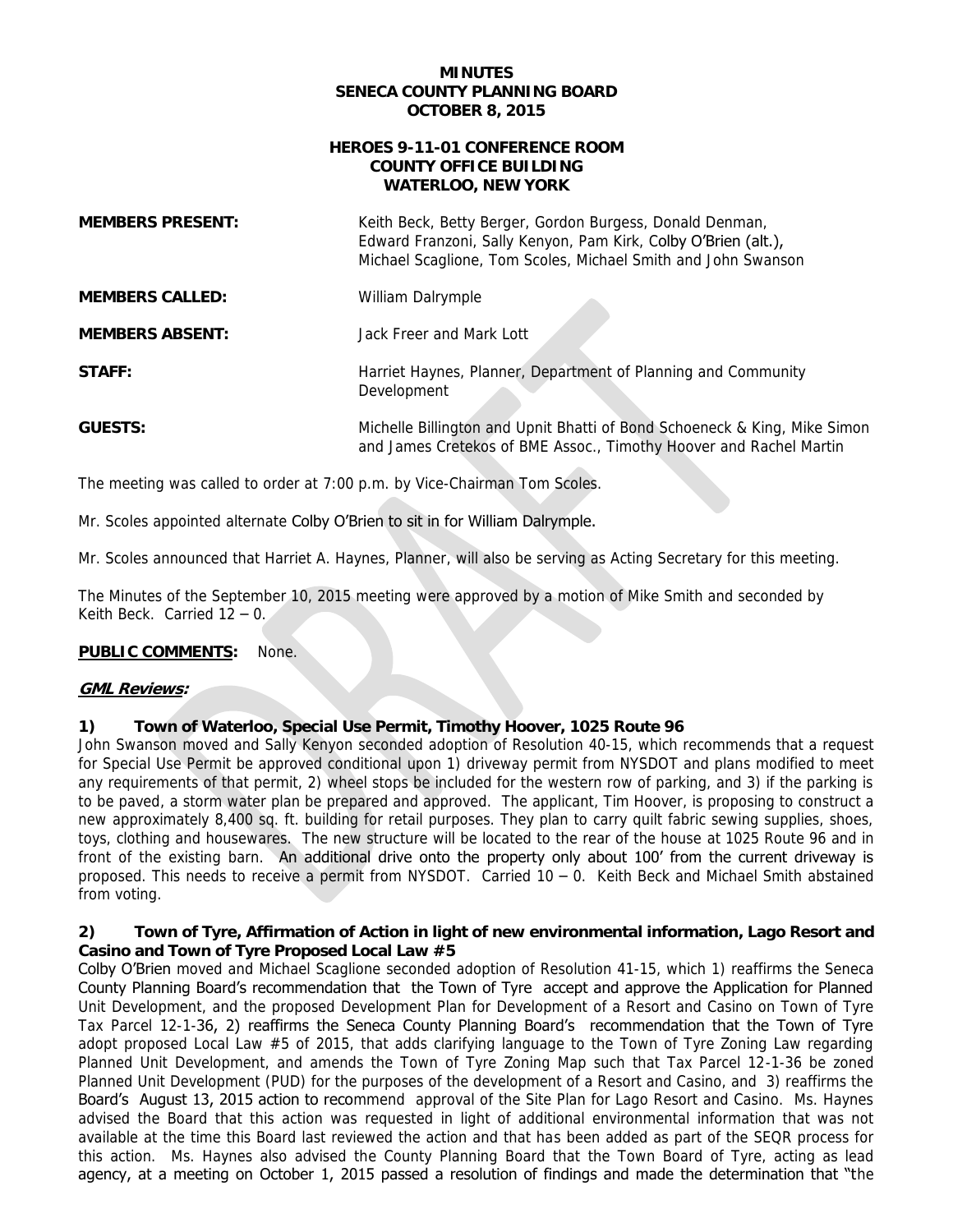# **SENECA COUNTY PLANNING BOARD OCTOBER 8, 2015**

### **HEROES 9-11-01 CONFERENCE ROOM WATERLOO, NEW YORK COUNTY OFFICE BUILDING**

| <b>MINUTES</b><br><b>SENECA COUNTY PLANNING BOARD</b><br><b>OCTOBER 8, 2015</b><br><b>HEROES 9-11-01 CONFERENCE ROOM</b><br><b>COUNTY OFFICE BUILDING</b><br><b>WATERLOO, NEW YORK</b> |                                                                                                                                                                                                                                                                                                                                                                                                                                                                                                                                                                                                                                                                                                                                                                                                                                                                                                                                                                                                                                |
|----------------------------------------------------------------------------------------------------------------------------------------------------------------------------------------|--------------------------------------------------------------------------------------------------------------------------------------------------------------------------------------------------------------------------------------------------------------------------------------------------------------------------------------------------------------------------------------------------------------------------------------------------------------------------------------------------------------------------------------------------------------------------------------------------------------------------------------------------------------------------------------------------------------------------------------------------------------------------------------------------------------------------------------------------------------------------------------------------------------------------------------------------------------------------------------------------------------------------------|
|                                                                                                                                                                                        |                                                                                                                                                                                                                                                                                                                                                                                                                                                                                                                                                                                                                                                                                                                                                                                                                                                                                                                                                                                                                                |
| <b>MEMBERS CALLED:</b>                                                                                                                                                                 | William Dalrymple                                                                                                                                                                                                                                                                                                                                                                                                                                                                                                                                                                                                                                                                                                                                                                                                                                                                                                                                                                                                              |
| <b>MEMBERS ABSENT:</b>                                                                                                                                                                 | Jack Freer and Mark Lott                                                                                                                                                                                                                                                                                                                                                                                                                                                                                                                                                                                                                                                                                                                                                                                                                                                                                                                                                                                                       |
| <b>STAFF:</b>                                                                                                                                                                          | Harriet Haynes, Planner, Department of Planning and Community<br>Development                                                                                                                                                                                                                                                                                                                                                                                                                                                                                                                                                                                                                                                                                                                                                                                                                                                                                                                                                   |
| <b>GUESTS:</b>                                                                                                                                                                         | Michelle Billington and Upnit Bhatti of Bond Schoeneck & King, Mike Simon<br>and James Cretekos of BME Assoc., Timothy Hoover and Rachel Martin                                                                                                                                                                                                                                                                                                                                                                                                                                                                                                                                                                                                                                                                                                                                                                                                                                                                                |
| The meeting was called to order at 7:00 p.m. by Vice-Chairman Tom Scoles.                                                                                                              |                                                                                                                                                                                                                                                                                                                                                                                                                                                                                                                                                                                                                                                                                                                                                                                                                                                                                                                                                                                                                                |
| Mr. Scoles appointed alternate Colby O'Brien to sit in for William Dalrymple.                                                                                                          |                                                                                                                                                                                                                                                                                                                                                                                                                                                                                                                                                                                                                                                                                                                                                                                                                                                                                                                                                                                                                                |
|                                                                                                                                                                                        | Mr. Scoles announced that Harriet A. Haynes, Planner, will also be serving as Acting Secretary for this meeting.                                                                                                                                                                                                                                                                                                                                                                                                                                                                                                                                                                                                                                                                                                                                                                                                                                                                                                               |
| Keith Beck. Carried $12 - 0$ .                                                                                                                                                         | The Minutes of the September 10, 2015 meeting were approved by a motion of Mike Smith and seconded by                                                                                                                                                                                                                                                                                                                                                                                                                                                                                                                                                                                                                                                                                                                                                                                                                                                                                                                          |
| <b>PUBLIC COMMENTS:</b><br>None.                                                                                                                                                       |                                                                                                                                                                                                                                                                                                                                                                                                                                                                                                                                                                                                                                                                                                                                                                                                                                                                                                                                                                                                                                |
| <b>GML Reviews:</b>                                                                                                                                                                    |                                                                                                                                                                                                                                                                                                                                                                                                                                                                                                                                                                                                                                                                                                                                                                                                                                                                                                                                                                                                                                |
| 1)<br>from voting.                                                                                                                                                                     | Town of Waterloo, Special Use Permit, Timothy Hoover, 1025 Route 96<br>John Swanson moved and Sally Kenyon seconded adoption of Resolution 40-15, which recommends that a request<br>for Special Use Permit be approved conditional upon 1) driveway permit from NYSDOT and plans modified to meet<br>any requirements of that permit, 2) wheel stops be included for the western row of parking, and 3) if the parking is<br>to be paved, a storm water plan be prepared and approved. The applicant, Tim Hoover, is proposing to construct a<br>new approximately 8,400 sq. ft. building for retail purposes. They plan to carry quilt fabric sewing supplies, shoes,<br>toys, clothing and housewares. The new structure will be located to the rear of the house at 1025 Route 96 and in<br>front of the existing barn. An additional drive onto the property only about 100' from the current driveway is<br>proposed. This needs to receive a permit from NYSDOT. Carried 10 - 0. Keith Beck and Michael Smith abstained |

### **PUBLIC COMMENTS:** None.

### **GML Reviews:**

#### $1)$ **1) Town of Waterloo, Special Use Permit, Timothy Hoover, 1025 Route 96**

#### $2)$  **Casino and Town of Tyre Proposed Local Law #5 2) Town of Tyre, Affirmation of Action in light of new environmental information, Lago Resort and**

 Colby O'Brien moved and Michael Scaglione seconded adoption of Resolution 41-15, which 1) reaffirms the Seneca County Planning Board's recommendation that the Town of Tyre accept and approve the Application for Planned Unit Development, and the proposed Development Plan for Development of a Resort and Casino on Town of Tyre Tax Parcel 12-1-36, 2) reaffirms the Seneca County Planning Board's recommendation that the Town of Tyre adopt proposed Local Law #5 of 2015, that adds clarifying language to the Town of Tyre Zoning Law regarding Planned Unit Development, and amends the Town of Tyre Zoning Map such that Tax Parcel 12-1-36 be zoned Board's August 13, 2015 action to recommend approval of the Site Plan for Lago Resort and Casino. Ms. Haynes advised the Board that this action was requested in light of additional environmental information that was not available at the time this Board last reviewed the action and that has been added as part of the SEQR process for this action. Ms. Haynes also advised the County Planning Board that the Town Board of Tyre, acting as lead agency, at a meeting on October 1, 2015 passed a resolution of findings and made the determination that "the Planned Unit Development (PUD) for the purposes of the development of a Resort and Casino, and 3) reaffirms the